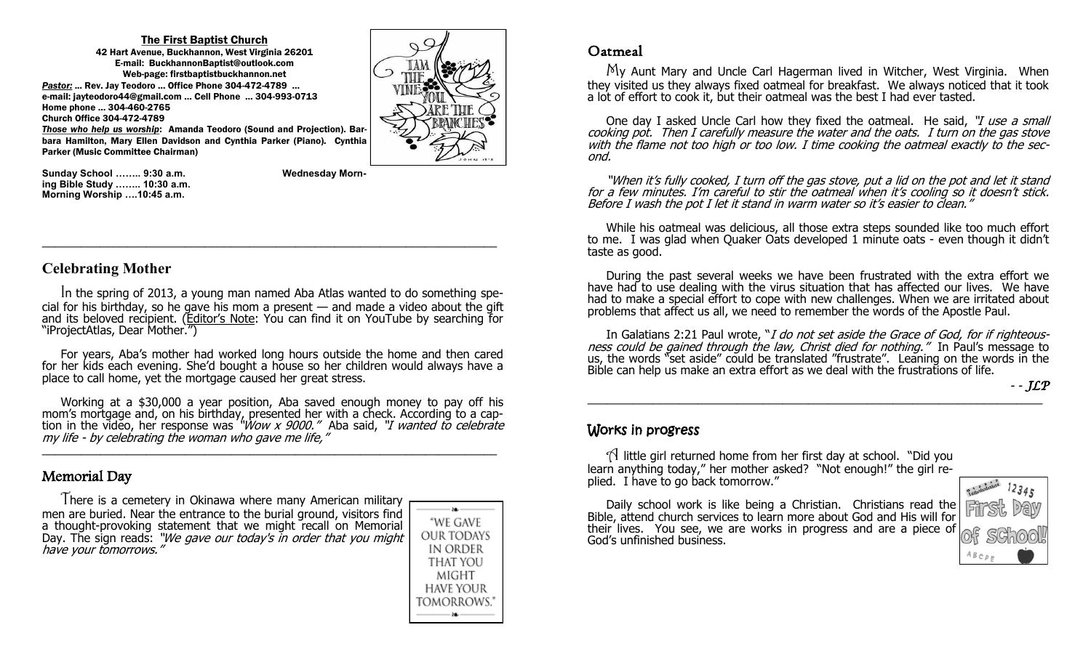The First Baptist Church 42 Hart Avenue, Buckhannon, West Virginia 26201 E-mail: BuckhannonBaptist@outlook.com Web-page: firstbaptistbuckhannon.net *Pastor:* ... Rev. Jay Teodoro ... Office Phone 304-472-4789 … e-mail: jayteodoro44@gmail.com … Cell Phone … 304-993-0713 Home phone … 304-460-2765 Church Office 304-472-4789



**Sunday School …….. 9:30 a.m. Wednesday Morning Bible Study …….. 10:30 a.m. Morning Worship ….10:45 a.m.**

Parker (Music Committee Chairman)

# **Celebrating Mother**

 In the spring of 2013, a young man named Aba Atlas wanted to do something special for his birthday, so he gave his mom a present  $-$  and made a video about the gift and its beloved recipient. (Editor's Note: You can find it on YouTube by searching for "iProjectAtlas, Dear Mother.")

 $\_$  , and the contribution of the contribution of  $\mathcal{L}_1$  , and  $\mathcal{L}_2$  , and  $\mathcal{L}_3$  , and  $\mathcal{L}_4$  , and  $\mathcal{L}_5$  , and  $\mathcal{L}_6$  , and  $\mathcal{L}_7$  , and  $\mathcal{L}_8$  , and  $\mathcal{L}_7$  , and  $\mathcal{L}_8$  , and  $\mathcal{L}_9$  ,

 For years, Aba's mother had worked long hours outside the home and then cared for her kids each evening. She'd bought a house so her children would always have a place to call home, yet the mortgage caused her great stress.

 Working at a \$30,000 a year position, Aba saved enough money to pay off his mom's mortgage and, on his birthday, presented her with a check. According to a caption in the video, her response was "Wow x 9000." Aba said, "I wanted to celebrate my life - by celebrating the woman who gave me life,"  $\_$  ,  $\_$  ,  $\_$  ,  $\_$  ,  $\_$  ,  $\_$  ,  $\_$  ,  $\_$  ,  $\_$  ,  $\_$  ,  $\_$  ,  $\_$  ,  $\_$  ,  $\_$  ,  $\_$  ,  $\_$  ,  $\_$  ,  $\_$  ,  $\_$  ,  $\_$  ,  $\_$  ,  $\_$  ,  $\_$  ,  $\_$  ,  $\_$  ,  $\_$  ,  $\_$  ,  $\_$  ,  $\_$  ,  $\_$  ,  $\_$  ,  $\_$  ,  $\_$  ,  $\_$  ,  $\_$  ,  $\_$  ,  $\_$  ,

## Memorial Day

 There is a cemetery in Okinawa where many American military men are buried. Near the entrance to the burial ground, visitors find a thought-provoking statement that we might recall on Memorial Day. The sign reads: "We gave our today's in order that you might have your tomorrows."



## Oatmeal

My Aunt Mary and Uncle Carl Hagerman lived in Witcher, West Virginia. When they visited us they always fixed oatmeal for breakfast. We always noticed that it took a lot of effort to cook it, but their oatmeal was the best I had ever tasted.

One day I asked Uncle Carl how they fixed the oatmeal. He said, "I use a small cooking pot. Then I carefully measure the water and the oats. I turn on the gas stove with the flame not too high or too low. I time cooking the oatmeal exactly to the second.

 "When it's fully cooked, I turn off the gas stove, put a lid on the pot and let it stand for a few minutes. I'm careful to stir the oatmeal when it's cooling so it doesn't stick. Before I wash the pot I let it stand in warm water so it's easier to clean."

 While his oatmeal was delicious, all those extra steps sounded like too much effort to me. I was glad when Quaker Oats developed 1 minute oats - even though it didn't taste as good.

 During the past several weeks we have been frustrated with the extra effort we have had to use dealing with the virus situation that has affected our lives. We have had to make a special effort to cope with new challenges. When we are irritated about problems that affect us all, we need to remember the words of the Apostle Paul.

In Galatians 2:21 Paul wrote, "*I do not set aside the Grace of God, for if righteous*ness could be gained through the law, Christ died for nothing." In Paul's message to us, the words "set aside" could be translated "frustrate". Leaning on the words in the Bible can help us make an extra effort as we deal with the frustrations of life.

 *- - JLP*  \_\_\_\_\_\_\_\_\_\_\_\_\_\_\_\_\_\_\_\_\_\_\_\_\_\_\_\_\_\_\_\_\_\_\_\_\_\_\_\_\_\_\_\_\_\_\_\_\_\_\_\_\_\_\_\_\_\_\_\_\_\_\_\_\_\_\_\_\_\_

## Works in progress

 $\mathcal{A}$  little girl returned home from her first day at school. "Did you learn anything today," her mother asked? "Not enough!" the girl replied. I have to go back tomorrow."

 Daily school work is like being a Christian. Christians read the Bible, attend church services to learn more about God and His will for their lives. You see, we are works in progress and are a piece of God's unfinished business.

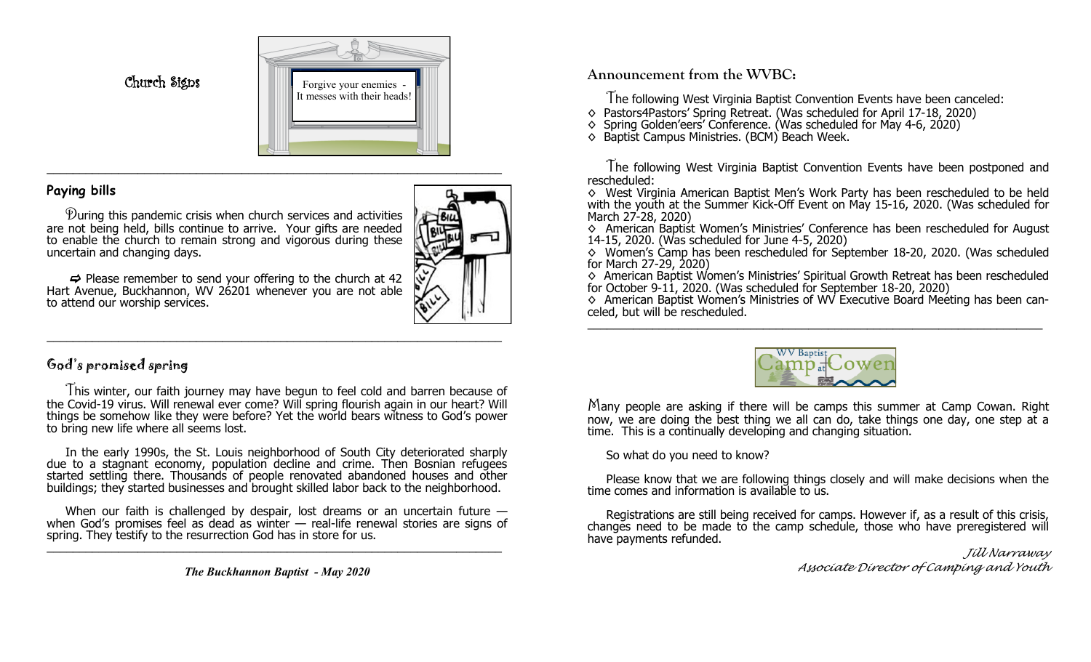



## **Paying bills**

 $\mathcal D$ uring this pandemic crisis when church services and activities are not being held, bills continue to arrive. Your gifts are needed to enable the church to remain strong and vigorous during these uncertain and changing days.

 $\Rightarrow$  Please remember to send your offering to the church at 42 Hart Avenue, Buckhannon, WV 26201 whenever you are not able to attend our worship services.

# God's promised spring

 This winter, our faith journey may have begun to feel cold and barren because of the Covid-19 virus. Will renewal ever come? Will spring flourish again in our heart? Will things be somehow like they were before? Yet the world bears witness to God's power to bring new life where all seems lost.

 $\_$  , and the contribution of the contribution of  $\mathcal{L}_1$  , and  $\mathcal{L}_2$  , and  $\mathcal{L}_3$  , and  $\mathcal{L}_4$  , and  $\mathcal{L}_5$  , and  $\mathcal{L}_6$  , and  $\mathcal{L}_7$  , and  $\mathcal{L}_8$  , and  $\mathcal{L}_7$  , and  $\mathcal{L}_8$  , and  $\mathcal{L}_9$  ,

\_\_\_\_\_\_\_\_\_\_\_\_\_\_\_\_\_\_\_\_\_\_\_\_\_\_\_\_\_\_\_\_\_\_\_\_\_\_\_\_\_\_\_\_\_\_\_\_\_\_\_\_\_\_\_\_\_\_\_\_\_\_\_\_\_\_\_\_\_\_

 In the early 1990s, the St. Louis neighborhood of South City deteriorated sharply due to a stagnant economy, population decline and crime. Then Bosnian refugees started settling there. Thousands of people renovated abandoned houses and other buildings; they started businesses and brought skilled labor back to the neighborhood.

When our faith is challenged by despair, lost dreams or an uncertain future when God's promises feel as dead as winter — real-life renewal stories are signs of spring. They testify to the resurrection God has in store for us. \_\_\_\_\_\_\_\_\_\_\_\_\_\_\_\_\_\_\_\_\_\_\_\_\_\_\_\_\_\_\_\_\_\_\_\_\_\_\_\_\_\_\_\_\_\_\_\_\_\_\_\_\_\_\_\_\_\_\_\_\_\_\_\_\_\_\_\_\_\_

*The Buckhannon Baptist - May 2020*

**Announcement from the WVBC:**

The following West Virginia Baptist Convention Events have been canceled:

- ◊ Pastors4Pastors' Spring Retreat. (Was scheduled for April 17-18, 2020)
- ◊ Spring Golden'eers' Conference. (Was scheduled for May 4-6, 2020)
- ◊ Baptist Campus Ministries. (BCM) Beach Week.

 The following West Virginia Baptist Convention Events have been postponed and rescheduled:

◊ West Virginia American Baptist Men's Work Party has been rescheduled to be held with the youth at the Summer Kick-Off Event on May 15-16, 2020. (Was scheduled for March 27-28, 2020)

◊ American Baptist Women's Ministries' Conference has been rescheduled for August 14-15, 2020. (Was scheduled for June 4-5, 2020)

◊ Women's Camp has been rescheduled for September 18-20, 2020. (Was scheduled for March 27-29, 2020)

◊ American Baptist Women's Ministries' Spiritual Growth Retreat has been rescheduled for October 9-11, 2020. (Was scheduled for September 18-20, 2020)

◊ American Baptist Women's Ministries of WV Executive Board Meeting has been canceled, but will be rescheduled. \_\_\_\_\_\_\_\_\_\_\_\_\_\_\_\_\_\_\_\_\_\_\_\_\_\_\_\_\_\_\_\_\_\_\_\_\_\_\_\_\_\_\_\_\_\_\_\_\_\_\_\_\_\_\_\_\_\_\_\_\_\_\_\_\_\_\_\_\_\_



Many people are asking if there will be camps this summer at Camp Cowan. Right now, we are doing the best thing we all can do, take things one day, one step at a time. This is a continually developing and changing situation.

So what do you need to know?

 Please know that we are following things closely and will make decisions when the time comes and information is available to us.

 Registrations are still being received for camps. However if, as a result of this crisis, changes need to be made to the camp schedule, those who have preregistered will have payments refunded.

> *Jill Narraway Associate Director of Camping and Youth*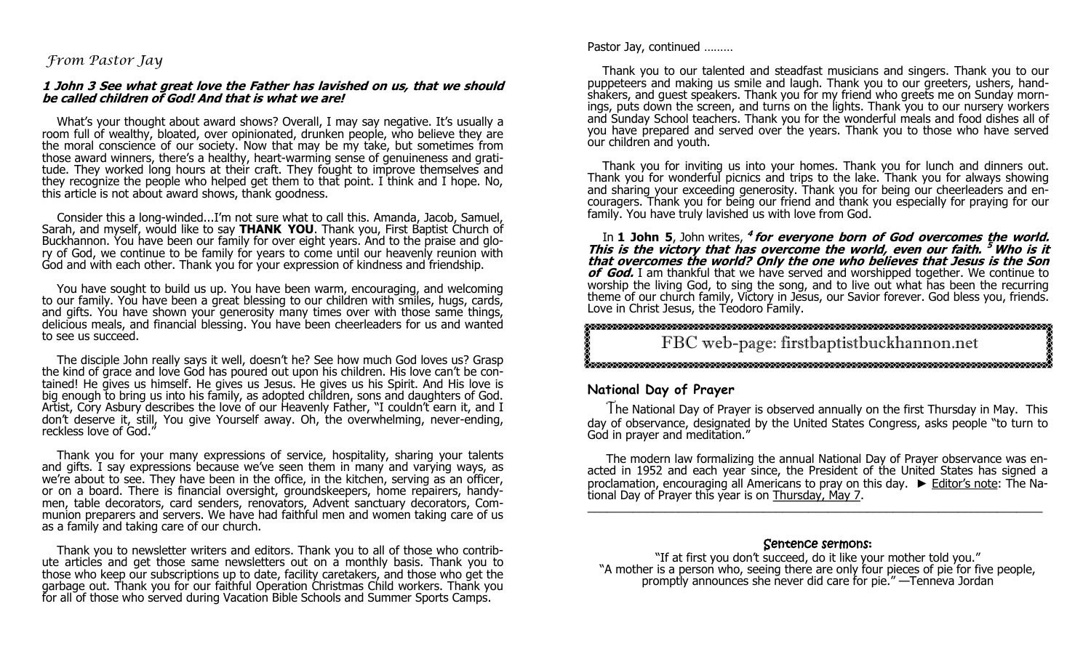## *From Pastor Jay*

#### **1 John 3 See what great love the Father has lavished on us, that we should be called children of God! And that is what we are!**

What's your thought about award shows? Overall, I may say negative. It's usually a room full of wealthy, bloated, over opinionated, drunken people, who believe they are the moral conscience of our society. Now that may be my take, but sometimes from those award winners, there's a healthy, heart-warming sense of genuineness and gratitude. They worked long hours at their craft. They fought to improve themselves and they recognize the people who helped get them to that point. I think and I hope. No, this article is not about award shows, thank goodness.

 Consider this a long-winded...I'm not sure what to call this. Amanda, Jacob, Samuel, Sarah, and myself, would like to say **THANK YOU**. Thank you, First Baptist Church of Buckhannon. You have been our family for over eight years. And to the praise and glory of God, we continue to be family for years to come until our heavenly reunion with God and with each other. Thank you for your expression of kindness and friendship.

 You have sought to build us up. You have been warm, encouraging, and welcoming to our family. You have been a great blessing to our children with smiles, hugs, cards, and gifts. You have shown your generosity many times over with those same things, delicious meals, and financial blessing. You have been cheerleaders for us and wanted to see us succeed.

 The disciple John really says it well, doesn't he? See how much God loves us? Grasp the kind of grace and love God has poured out upon his children. His love can't be contained! He gives us himself. He gives us Jesus. He gives us his Spirit. And His love is big enough to bring us into his family, as adopted children, sons and daughters of God. Artist, Cory Asbury describes the love of our Heavenly Father, "I couldn't earn it, and I don't deserve it, still, You give Yourself away. Oh, the overwhelming, never-ending, reckless love of God."

 Thank you for your many expressions of service, hospitality, sharing your talents and gifts. I say expressions because we've seen them in many and varying ways, as we're about to see. They have been in the office, in the kitchen, serving as an officer, or on a board. There is financial oversight, groundskeepers, home repairers, handymen, table decorators, card senders, renovators, Advent sanctuary decorators, Communion preparers and servers. We have had faithful men and women taking care of us as a family and taking care of our church.

 Thank you to newsletter writers and editors. Thank you to all of those who contribute articles and get those same newsletters out on a monthly basis. Thank you to those who keep our subscriptions up to date, facility caretakers, and those who get the garbage out. Thank you for our faithful Operation Christmas Child workers. Thank you for all of those who served during Vacation Bible Schools and Summer Sports Camps.

Pastor Jay, continued ………

 Thank you to our talented and steadfast musicians and singers. Thank you to our puppeteers and making us smile and laugh. Thank you to our greeters, ushers, handshakers, and guest speakers. Thank you for my friend who greets me on Sunday mornings, puts down the screen, and turns on the lights. Thank you to our nursery workers and Sunday School teachers. Thank you for the wonderful meals and food dishes all of you have prepared and served over the years. Thank you to those who have served our children and youth.

 Thank you for inviting us into your homes. Thank you for lunch and dinners out. Thank you for wonderful picnics and trips to the lake. Thank you for always showing and sharing your exceeding generosity. Thank you for being our cheerleaders and encouragers. Thank you for being our friend and thank you especially for praying for our family. You have truly lavished us with love from God.

 In **1 John 5**, John writes, **<sup>4</sup> for everyone born of God overcomes the world. This is the victory that has overcome the world, even our faith. <sup>5</sup> Who is it that overcomes the world? Only the one who believes that Jesus is the Son of God.** I am thankful that we have served and worshipped together. We continue to worship the living God, to sing the song, and to live out what has been the recurring theme of our church family, Victory in Jesus, our Savior forever. God bless you, friends. Love in Christ Jesus, the Teodoro Family.

#### 

FBC web-page: firstbaptistbuckhannon.net

## **National Day of Prayer**

 The National Day of Prayer is observed annually on the first Thursday in May. This day of observance, designated by the United States Congress, asks people "to turn to God in prayer and meditation."

 The modern law formalizing the annual National Day of Prayer observance was enacted in 1952 and each year since, the President of the United States has signed a proclamation, encouraging all Americans to pray on this day. ► Editor's note: The National Day of Prayer this year is on Thursday, May 7.  $\_$  ,  $\_$  ,  $\_$  ,  $\_$  ,  $\_$  ,  $\_$  ,  $\_$  ,  $\_$  ,  $\_$  ,  $\_$  ,  $\_$  ,  $\_$  ,  $\_$  ,  $\_$  ,  $\_$  ,  $\_$  ,  $\_$  ,  $\_$  ,  $\_$  ,  $\_$  ,  $\_$  ,  $\_$  ,  $\_$  ,  $\_$  ,  $\_$  ,  $\_$  ,  $\_$  ,  $\_$  ,  $\_$  ,  $\_$  ,  $\_$  ,  $\_$  ,  $\_$  ,  $\_$  ,  $\_$  ,  $\_$  ,  $\_$  ,

#### Sentence sermons:

"If at first you don't succeed, do it like your mother told you." "A mother is a person who, seeing there are only four pieces of pie for five people, promptly announces she never did care for pie." —Tenneva Jordan